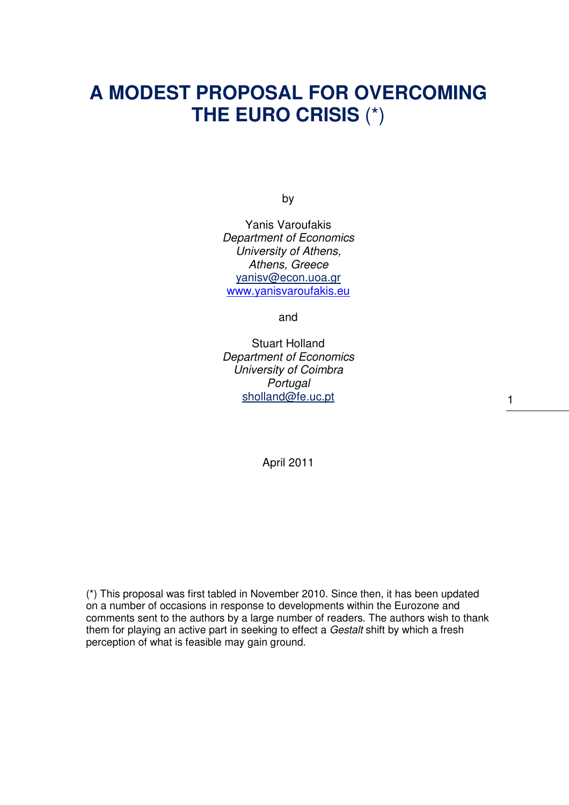# **A MODEST PROPOSAL FOR OVERCOMING THE EURO CRISIS** (\*)

by

Yanis Varoufakis Department of Economics University of Athens, Athens, Greece yanisv@econ.uoa.gr www.yanisvaroufakis.eu

and

Stuart Holland Department of Economics University of Coimbra **Portugal** sholland@fe.uc.pt

April 2011

(\*) This proposal was first tabled in November 2010. Since then, it has been updated on a number of occasions in response to developments within the Eurozone and comments sent to the authors by a large number of readers. The authors wish to thank them for playing an active part in seeking to effect a Gestalt shift by which a fresh perception of what is feasible may gain ground.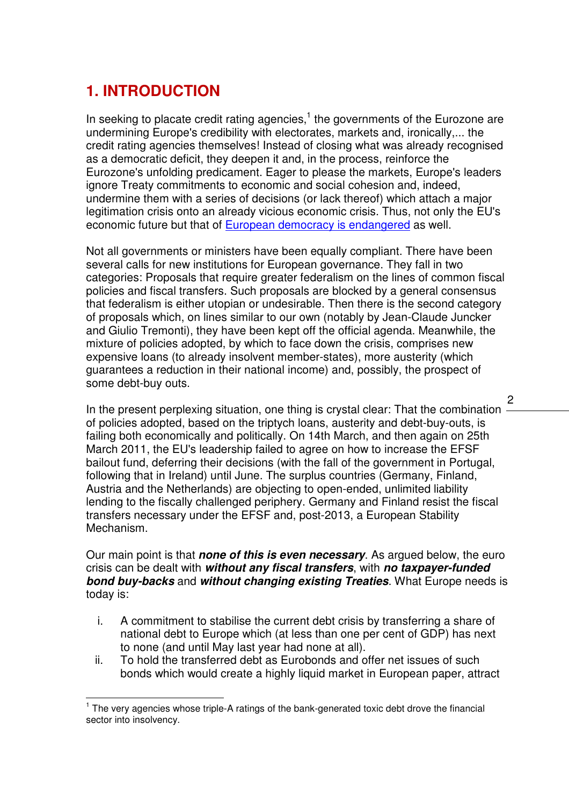# **1. INTRODUCTION**

In seeking to placate credit rating agencies, $<sup>1</sup>$  the governments of the Eurozone are</sup> undermining Europe's credibility with electorates, markets and, ironically,... the credit rating agencies themselves! Instead of closing what was already recognised as a democratic deficit, they deepen it and, in the process, reinforce the Eurozone's unfolding predicament. Eager to please the markets, Europe's leaders ignore Treaty commitments to economic and social cohesion and, indeed, undermine them with a series of decisions (or lack thereof) which attach a major legitimation crisis onto an already vicious economic crisis. Thus, not only the EU's economic future but that of European democracy is endangered as well.

Not all governments or ministers have been equally compliant. There have been several calls for new institutions for European governance. They fall in two categories: Proposals that require greater federalism on the lines of common fiscal policies and fiscal transfers. Such proposals are blocked by a general consensus that federalism is either utopian or undesirable. Then there is the second category of proposals which, on lines similar to our own (notably by Jean-Claude Juncker and Giulio Tremonti), they have been kept off the official agenda. Meanwhile, the mixture of policies adopted, by which to face down the crisis, comprises new expensive loans (to already insolvent member-states), more austerity (which guarantees a reduction in their national income) and, possibly, the prospect of some debt-buy outs.

In the present perplexing situation, one thing is crystal clear: That the combination of policies adopted, based on the triptych loans, austerity and debt-buy-outs, is failing both economically and politically. On 14th March, and then again on 25th March 2011, the EU's leadership failed to agree on how to increase the EFSF bailout fund, deferring their decisions (with the fall of the government in Portugal, following that in Ireland) until June. The surplus countries (Germany, Finland, Austria and the Netherlands) are objecting to open-ended, unlimited liability lending to the fiscally challenged periphery. Germany and Finland resist the fiscal transfers necessary under the EFSF and, post-2013, a European Stability Mechanism.

#### Our main point is that **none of this is even necessary**. As argued below, the euro crisis can be dealt with **without any fiscal transfers**, with **no taxpayer-funded bond buy-backs** and **without changing existing Treaties**. What Europe needs is today is:

- i. A commitment to stabilise the current debt crisis by transferring a share of national debt to Europe which (at less than one per cent of GDP) has next to none (and until May last year had none at all).
- ii. To hold the transferred debt as Eurobonds and offer net issues of such bonds which would create a highly liquid market in European paper, attract

 $\overline{1}$ <sup>1</sup> The very agencies whose triple-A ratings of the bank-generated toxic debt drove the financial sector into insolvency.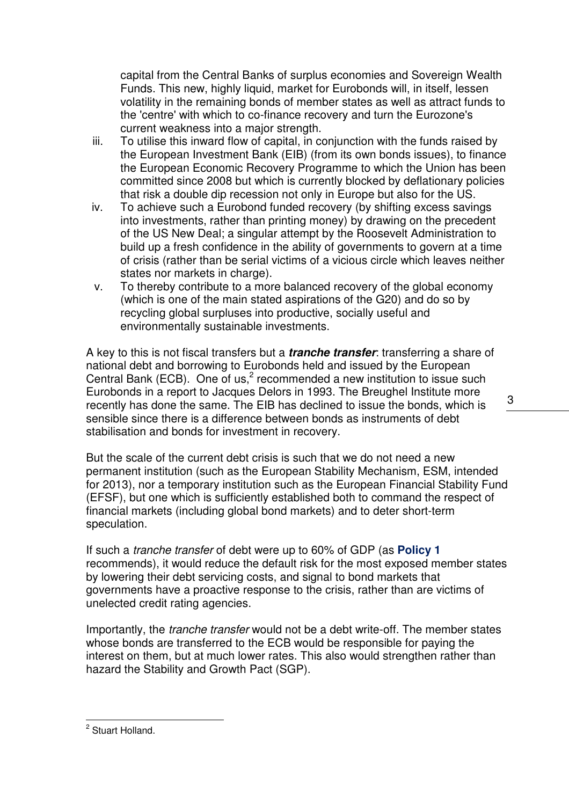capital from the Central Banks of surplus economies and Sovereign Wealth Funds. This new, highly liquid, market for Eurobonds will, in itself, lessen volatility in the remaining bonds of member states as well as attract funds to the 'centre' with which to co-finance recovery and turn the Eurozone's current weakness into a major strength.

- iii. To utilise this inward flow of capital, in conjunction with the funds raised by the European Investment Bank (EIB) (from its own bonds issues), to finance the European Economic Recovery Programme to which the Union has been committed since 2008 but which is currently blocked by deflationary policies that risk a double dip recession not only in Europe but also for the US.
- iv. To achieve such a Eurobond funded recovery (by shifting excess savings into investments, rather than printing money) by drawing on the precedent of the US New Deal; a singular attempt by the Roosevelt Administration to build up a fresh confidence in the ability of governments to govern at a time of crisis (rather than be serial victims of a vicious circle which leaves neither states nor markets in charge).
- v. To thereby contribute to a more balanced recovery of the global economy (which is one of the main stated aspirations of the G20) and do so by recycling global surpluses into productive, socially useful and environmentally sustainable investments.

A key to this is not fiscal transfers but a **tranche transfer**: transferring a share of national debt and borrowing to Eurobonds held and issued by the European Central Bank (ECB). One of us,<sup>2</sup> recommended a new institution to issue such Eurobonds in a report to Jacques Delors in 1993. The Breughel Institute more recently has done the same. The EIB has declined to issue the bonds, which is sensible since there is a difference between bonds as instruments of debt stabilisation and bonds for investment in recovery.

But the scale of the current debt crisis is such that we do not need a new permanent institution (such as the European Stability Mechanism, ESM, intended for 2013), nor a temporary institution such as the European Financial Stability Fund (EFSF), but one which is sufficiently established both to command the respect of financial markets (including global bond markets) and to deter short-term speculation.

If such a tranche transfer of debt were up to 60% of GDP (as **Policy 1**  recommends), it would reduce the default risk for the most exposed member states by lowering their debt servicing costs, and signal to bond markets that governments have a proactive response to the crisis, rather than are victims of unelected credit rating agencies.

Importantly, the tranche transfer would not be a debt write-off. The member states whose bonds are transferred to the ECB would be responsible for paying the interest on them, but at much lower rates. This also would strengthen rather than hazard the Stability and Growth Pact (SGP).

<sup>3</sup> 

<sup>&</sup>lt;u>a<br>Let</u> Stuart Holland.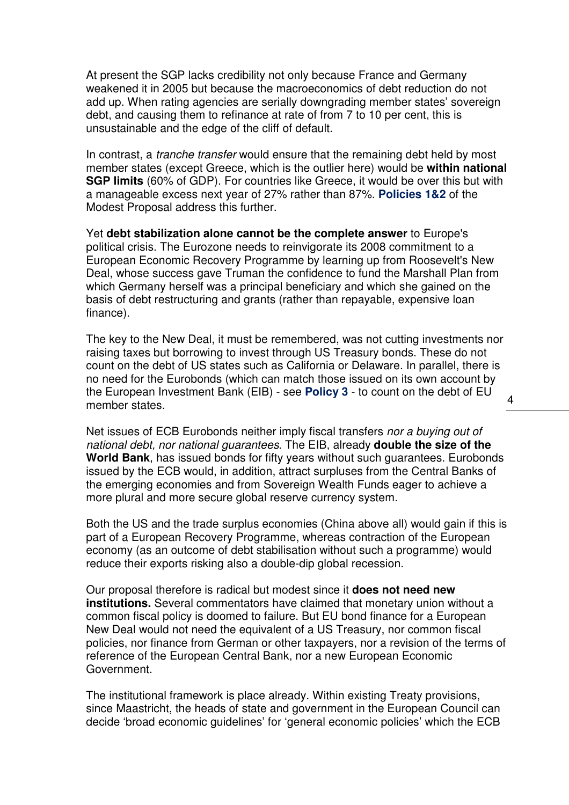At present the SGP lacks credibility not only because France and Germany weakened it in 2005 but because the macroeconomics of debt reduction do not add up. When rating agencies are serially downgrading member states' sovereign debt, and causing them to refinance at rate of from 7 to 10 per cent, this is unsustainable and the edge of the cliff of default.

In contrast, a *tranche transfer* would ensure that the remaining debt held by most member states (except Greece, which is the outlier here) would be **within national SGP limits** (60% of GDP). For countries like Greece, it would be over this but with a manageable excess next year of 27% rather than 87%. **Policies 1&2** of the Modest Proposal address this further.

Yet **debt stabilization alone cannot be the complete answer** to Europe's political crisis. The Eurozone needs to reinvigorate its 2008 commitment to a European Economic Recovery Programme by learning up from Roosevelt's New Deal, whose success gave Truman the confidence to fund the Marshall Plan from which Germany herself was a principal beneficiary and which she gained on the basis of debt restructuring and grants (rather than repayable, expensive loan finance).

The key to the New Deal, it must be remembered, was not cutting investments nor raising taxes but borrowing to invest through US Treasury bonds. These do not count on the debt of US states such as California or Delaware. In parallel, there is no need for the Eurobonds (which can match those issued on its own account by the European Investment Bank (EIB) - see **Policy 3** - to count on the debt of EU member states.

Net issues of ECB Eurobonds neither imply fiscal transfers nor a buying out of national debt, nor national guarantees. The EIB, already **double the size of the World Bank**, has issued bonds for fifty years without such guarantees. Eurobonds issued by the ECB would, in addition, attract surpluses from the Central Banks of the emerging economies and from Sovereign Wealth Funds eager to achieve a more plural and more secure global reserve currency system.

Both the US and the trade surplus economies (China above all) would gain if this is part of a European Recovery Programme, whereas contraction of the European economy (as an outcome of debt stabilisation without such a programme) would reduce their exports risking also a double-dip global recession.

Our proposal therefore is radical but modest since it **does not need new institutions.** Several commentators have claimed that monetary union without a common fiscal policy is doomed to failure. But EU bond finance for a European New Deal would not need the equivalent of a US Treasury, nor common fiscal policies, nor finance from German or other taxpayers, nor a revision of the terms of reference of the European Central Bank, nor a new European Economic Government.

The institutional framework is place already. Within existing Treaty provisions, since Maastricht, the heads of state and government in the European Council can decide 'broad economic guidelines' for 'general economic policies' which the ECB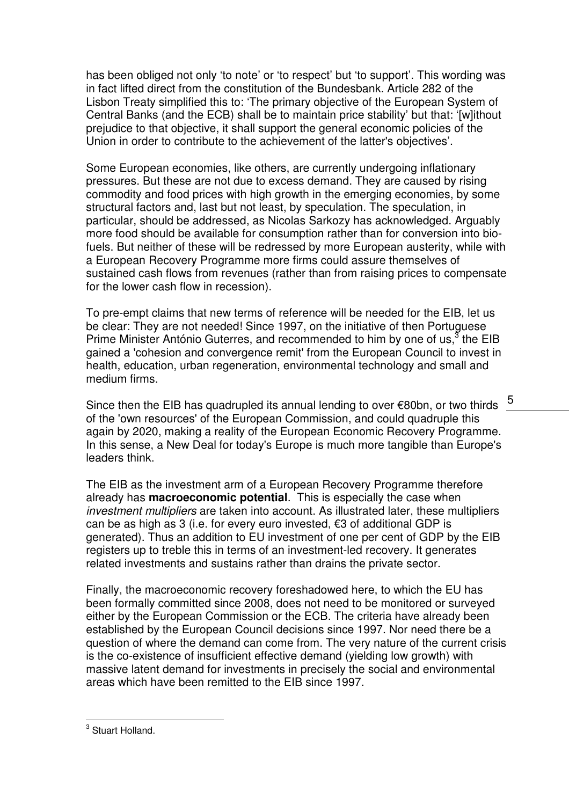has been obliged not only 'to note' or 'to respect' but 'to support'. This wording was in fact lifted direct from the constitution of the Bundesbank. Article 282 of the Lisbon Treaty simplified this to: 'The primary objective of the European System of Central Banks (and the ECB) shall be to maintain price stability' but that: '[w]ithout prejudice to that objective, it shall support the general economic policies of the Union in order to contribute to the achievement of the latter's objectives'.

Some European economies, like others, are currently undergoing inflationary pressures. But these are not due to excess demand. They are caused by rising commodity and food prices with high growth in the emerging economies, by some structural factors and, last but not least, by speculation. The speculation, in particular, should be addressed, as Nicolas Sarkozy has acknowledged. Arguably more food should be available for consumption rather than for conversion into biofuels. But neither of these will be redressed by more European austerity, while with a European Recovery Programme more firms could assure themselves of sustained cash flows from revenues (rather than from raising prices to compensate for the lower cash flow in recession).

To pre-empt claims that new terms of reference will be needed for the EIB, let us be clear: They are not needed! Since 1997, on the initiative of then Portuguese Prime Minister António Guterres, and recommended to him by one of us,  $3$  the EIB gained a 'cohesion and convergence remit' from the European Council to invest in health, education, urban regeneration, environmental technology and small and medium firms.

Since then the EIB has quadrupled its annual lending to over €80bn, or two thirds of the 'own resources' of the European Commission, and could quadruple this again by 2020, making a reality of the European Economic Recovery Programme. In this sense, a New Deal for today's Europe is much more tangible than Europe's leaders think.

The EIB as the investment arm of a European Recovery Programme therefore already has **macroeconomic potential**. This is especially the case when investment multipliers are taken into account. As illustrated later, these multipliers can be as high as 3 (i.e. for every euro invested, €3 of additional GDP is generated). Thus an addition to EU investment of one per cent of GDP by the EIB registers up to treble this in terms of an investment-led recovery. It generates related investments and sustains rather than drains the private sector.

Finally, the macroeconomic recovery foreshadowed here, to which the EU has been formally committed since 2008, does not need to be monitored or surveyed either by the European Commission or the ECB. The criteria have already been established by the European Council decisions since 1997. Nor need there be a question of where the demand can come from. The very nature of the current crisis is the co-existence of insufficient effective demand (yielding low growth) with massive latent demand for investments in precisely the social and environmental areas which have been remitted to the EIB since 1997.

<sup>5</sup> 

<sup>&</sup>lt;u>a<br>a Stuart Holland.</u>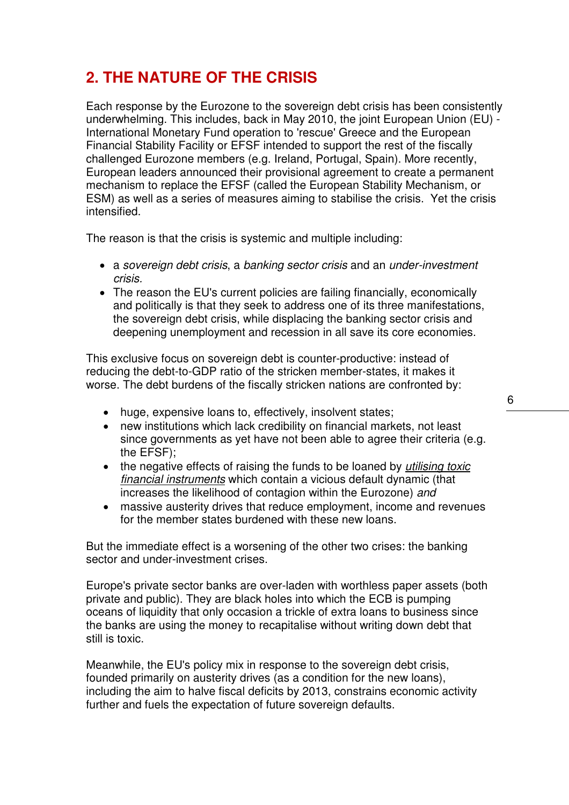# **2. THE NATURE OF THE CRISIS**

Each response by the Eurozone to the sovereign debt crisis has been consistently underwhelming. This includes, back in May 2010, the joint European Union (EU) - International Monetary Fund operation to 'rescue' Greece and the European Financial Stability Facility or EFSF intended to support the rest of the fiscally challenged Eurozone members (e.g. Ireland, Portugal, Spain). More recently, European leaders announced their provisional agreement to create a permanent mechanism to replace the EFSF (called the European Stability Mechanism, or ESM) as well as a series of measures aiming to stabilise the crisis. Yet the crisis intensified.

The reason is that the crisis is systemic and multiple including:

- a sovereign debt crisis, a banking sector crisis and an under-investment crisis.
- The reason the EU's current policies are failing financially, economically and politically is that they seek to address one of its three manifestations, the sovereign debt crisis, while displacing the banking sector crisis and deepening unemployment and recession in all save its core economies.

This exclusive focus on sovereign debt is counter-productive: instead of reducing the debt-to-GDP ratio of the stricken member-states, it makes it worse. The debt burdens of the fiscally stricken nations are confronted by:

- huge, expensive loans to, effectively, insolvent states;
- new institutions which lack credibility on financial markets, not least since governments as yet have not been able to agree their criteria (e.g. the EFSF);
- the negative effects of raising the funds to be loaned by *utilising toxic* financial instruments which contain a vicious default dynamic (that increases the likelihood of contagion within the Eurozone) and
- massive austerity drives that reduce employment, income and revenues for the member states burdened with these new loans.

But the immediate effect is a worsening of the other two crises: the banking sector and under-investment crises.

Europe's private sector banks are over-laden with worthless paper assets (both private and public). They are black holes into which the ECB is pumping oceans of liquidity that only occasion a trickle of extra loans to business since the banks are using the money to recapitalise without writing down debt that still is toxic.

Meanwhile, the EU's policy mix in response to the sovereign debt crisis, founded primarily on austerity drives (as a condition for the new loans), including the aim to halve fiscal deficits by 2013, constrains economic activity further and fuels the expectation of future sovereign defaults.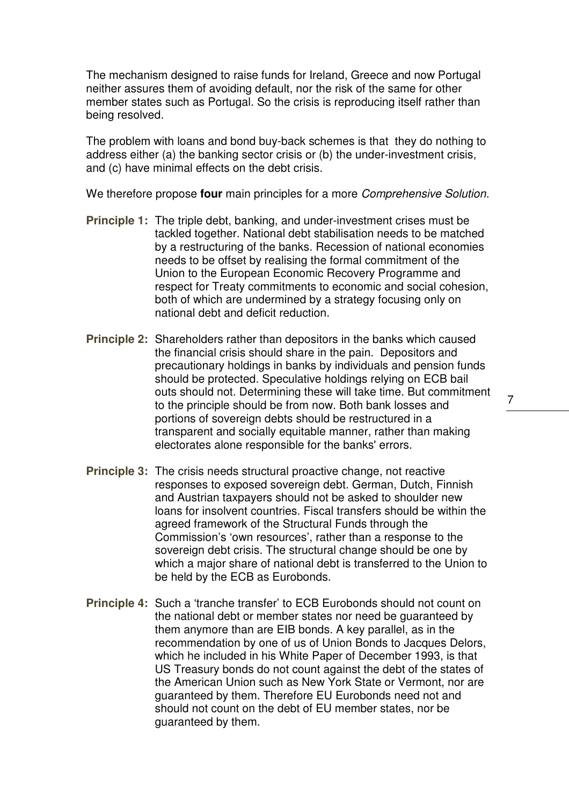The mechanism designed to raise funds for Ireland, Greece and now Portugal neither assures them of avoiding default, nor the risk of the same for other member states such as Portugal. So the crisis is reproducing itself rather than being resolved.

The problem with loans and bond buy-back schemes is that they do nothing to address either (a) the banking sector crisis or (b) the under-investment crisis, and (c) have minimal effects on the debt crisis.

We therefore propose **four** main principles for a more Comprehensive Solution.

- **Principle 1:** The triple debt, banking, and under-investment crises must be tackled together. National debt stabilisation needs to be matched by a restructuring of the banks. Recession of national economies needs to be offset by realising the formal commitment of the Union to the European Economic Recovery Programme and respect for Treaty commitments to economic and social cohesion, both of which are undermined by a strategy focusing only on national debt and deficit reduction.
- **Principle 2:** Shareholders rather than depositors in the banks which caused the financial crisis should share in the pain. Depositors and precautionary holdings in banks by individuals and pension funds should be protected. Speculative holdings relying on ECB bail outs should not. Determining these will take time. But commitment to the principle should be from now. Both bank losses and portions of sovereign debts should be restructured in a transparent and socially equitable manner, rather than making electorates alone responsible for the banks' errors.
- **Principle 3:** The crisis needs structural proactive change, not reactive responses to exposed sovereign debt. German, Dutch, Finnish and Austrian taxpayers should not be asked to shoulder new loans for insolvent countries. Fiscal transfers should be within the agreed framework of the Structural Funds through the Commission's 'own resources', rather than a response to the sovereign debt crisis. The structural change should be one by which a major share of national debt is transferred to the Union to be held by the ECB as Eurobonds.
- **Principle 4:** Such a 'tranche transfer' to ECB Eurobonds should not count on the national debt or member states nor need be guaranteed by them anymore than are EIB bonds. A key parallel, as in the recommendation by one of us of Union Bonds to Jacques Delors, which he included in his White Paper of December 1993, is that US Treasury bonds do not count against the debt of the states of the American Union such as New York State or Vermont, nor are guaranteed by them. Therefore EU Eurobonds need not and should not count on the debt of EU member states, nor be guaranteed by them.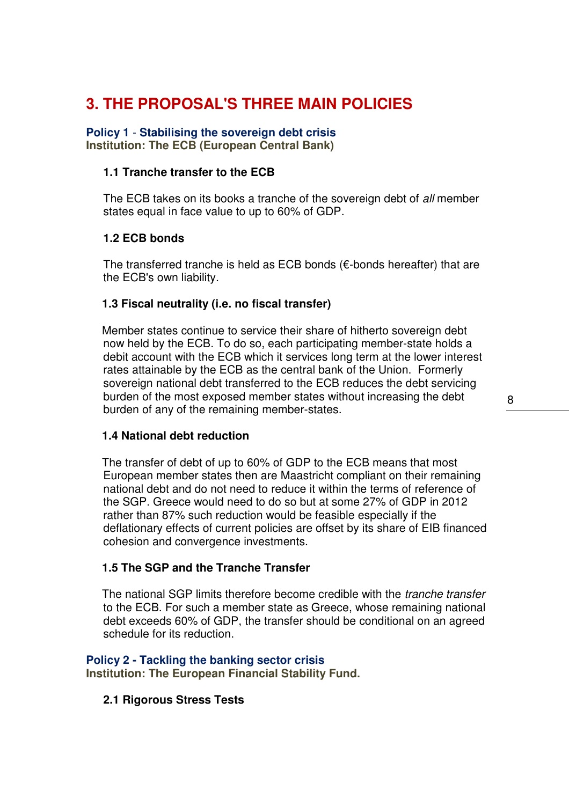## **3. THE PROPOSAL'S THREE MAIN POLICIES**

### **Policy 1** - **Stabilising the sovereign debt crisis**

**Institution: The ECB (European Central Bank)** 

#### **1.1 Tranche transfer to the ECB**

The ECB takes on its books a tranche of the sovereign debt of all member states equal in face value to up to 60% of GDP.

#### **1.2 ECB bonds**

The transferred tranche is held as ECB bonds ( $\epsilon$ -bonds hereafter) that are the ECB's own liability.

#### **1.3 Fiscal neutrality (i.e. no fiscal transfer)**

Member states continue to service their share of hitherto sovereign debt now held by the ECB. To do so, each participating member-state holds a debit account with the ECB which it services long term at the lower interest rates attainable by the ECB as the central bank of the Union. Formerly sovereign national debt transferred to the ECB reduces the debt servicing burden of the most exposed member states without increasing the debt burden of any of the remaining member-states.

#### **1.4 National debt reduction**

The transfer of debt of up to 60% of GDP to the ECB means that most European member states then are Maastricht compliant on their remaining national debt and do not need to reduce it within the terms of reference of the SGP. Greece would need to do so but at some 27% of GDP in 2012 rather than 87% such reduction would be feasible especially if the deflationary effects of current policies are offset by its share of EIB financed cohesion and convergence investments.

#### **1.5 The SGP and the Tranche Transfer**

The national SGP limits therefore become credible with the *tranche transfer* to the ECB. For such a member state as Greece, whose remaining national debt exceeds 60% of GDP, the transfer should be conditional on an agreed schedule for its reduction.

# **Policy 2 - Tackling the banking sector crisis**

**Institution: The European Financial Stability Fund.**

### **2.1 Rigorous Stress Tests**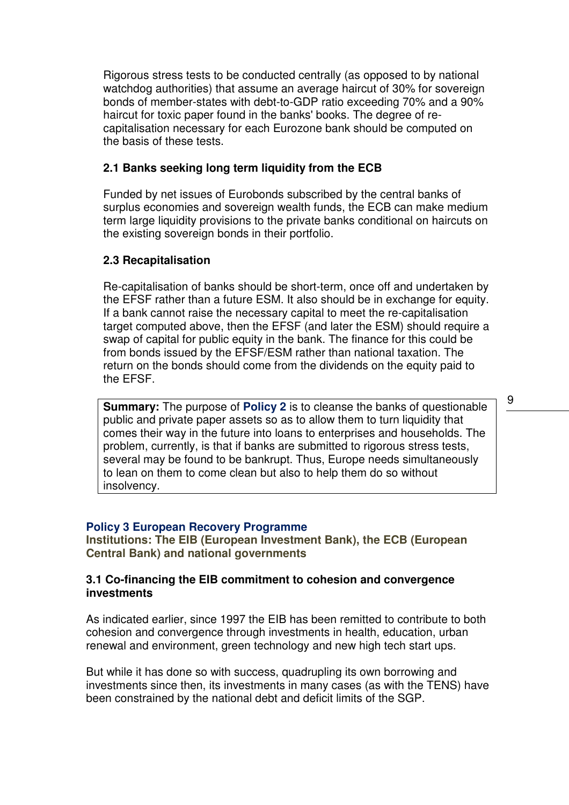Rigorous stress tests to be conducted centrally (as opposed to by national watchdog authorities) that assume an average haircut of 30% for sovereign bonds of member-states with debt-to-GDP ratio exceeding 70% and a 90% haircut for toxic paper found in the banks' books. The degree of recapitalisation necessary for each Eurozone bank should be computed on the basis of these tests.

#### **2.1 Banks seeking long term liquidity from the ECB**

Funded by net issues of Eurobonds subscribed by the central banks of surplus economies and sovereign wealth funds, the ECB can make medium term large liquidity provisions to the private banks conditional on haircuts on the existing sovereign bonds in their portfolio.

#### **2.3 Recapitalisation**

Re-capitalisation of banks should be short-term, once off and undertaken by the EFSF rather than a future ESM. It also should be in exchange for equity. If a bank cannot raise the necessary capital to meet the re-capitalisation target computed above, then the EFSF (and later the ESM) should require a swap of capital for public equity in the bank. The finance for this could be from bonds issued by the EFSF/ESM rather than national taxation. The return on the bonds should come from the dividends on the equity paid to the EFSF.

**Summary:** The purpose of **Policy 2** is to cleanse the banks of questionable public and private paper assets so as to allow them to turn liquidity that comes their way in the future into loans to enterprises and households. The problem, currently, is that if banks are submitted to rigorous stress tests, several may be found to be bankrupt. Thus, Europe needs simultaneously to lean on them to come clean but also to help them do so without insolvency.

#### **Policy 3 European Recovery Programme**

**Institutions: The EIB (European Investment Bank), the ECB (European Central Bank) and national governments** 

#### **3.1 Co-financing the EIB commitment to cohesion and convergence investments**

As indicated earlier, since 1997 the EIB has been remitted to contribute to both cohesion and convergence through investments in health, education, urban renewal and environment, green technology and new high tech start ups.

But while it has done so with success, quadrupling its own borrowing and investments since then, its investments in many cases (as with the TENS) have been constrained by the national debt and deficit limits of the SGP.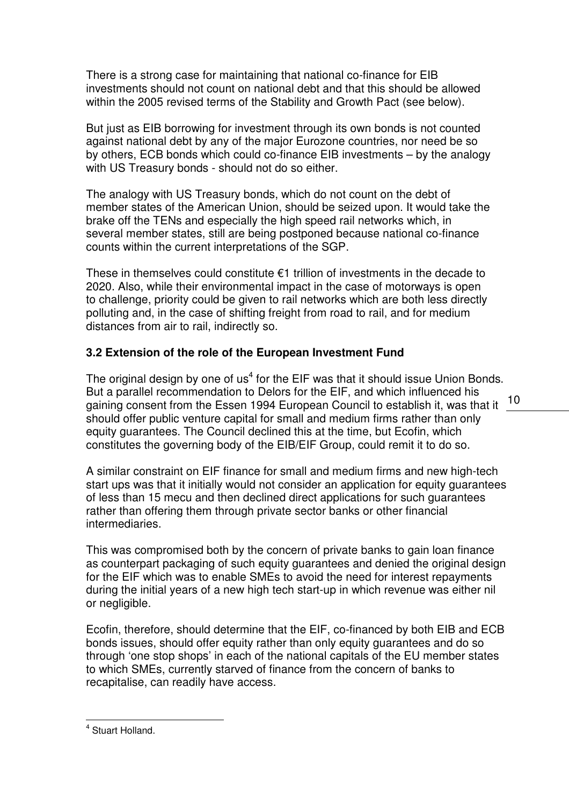There is a strong case for maintaining that national co-finance for EIB investments should not count on national debt and that this should be allowed within the 2005 revised terms of the Stability and Growth Pact (see below).

But just as EIB borrowing for investment through its own bonds is not counted against national debt by any of the major Eurozone countries, nor need be so by others, ECB bonds which could co-finance EIB investments – by the analogy with US Treasury bonds - should not do so either.

The analogy with US Treasury bonds, which do not count on the debt of member states of the American Union, should be seized upon. It would take the brake off the TENs and especially the high speed rail networks which, in several member states, still are being postponed because national co-finance counts within the current interpretations of the SGP.

These in themselves could constitute  $€1$  trillion of investments in the decade to 2020. Also, while their environmental impact in the case of motorways is open to challenge, priority could be given to rail networks which are both less directly polluting and, in the case of shifting freight from road to rail, and for medium distances from air to rail, indirectly so.

### **3.2 Extension of the role of the European Investment Fund**

 $\frac{1}{2}$  is a parametric commissional into  $\frac{1}{2}$  belong to the  $\frac{1}{2}$  m. The minimum annual integration of  $\frac{10}{2}$ The original design by one of us<sup>4</sup> for the EIF was that it should issue Union Bonds. But a parallel recommendation to Delors for the EIF, and which influenced his should offer public venture capital for small and medium firms rather than only equity guarantees. The Council declined this at the time, but Ecofin, which constitutes the governing body of the EIB/EIF Group, could remit it to do so.

A similar constraint on EIF finance for small and medium firms and new high-tech start ups was that it initially would not consider an application for equity guarantees of less than 15 mecu and then declined direct applications for such guarantees rather than offering them through private sector banks or other financial intermediaries.

This was compromised both by the concern of private banks to gain loan finance as counterpart packaging of such equity guarantees and denied the original design for the EIF which was to enable SMEs to avoid the need for interest repayments during the initial years of a new high tech start-up in which revenue was either nil or negligible.

Ecofin, therefore, should determine that the EIF, co-financed by both EIB and ECB bonds issues, should offer equity rather than only equity guarantees and do so through 'one stop shops' in each of the national capitals of the EU member states to which SMEs, currently starved of finance from the concern of banks to recapitalise, can readily have access.

 4 Stuart Holland.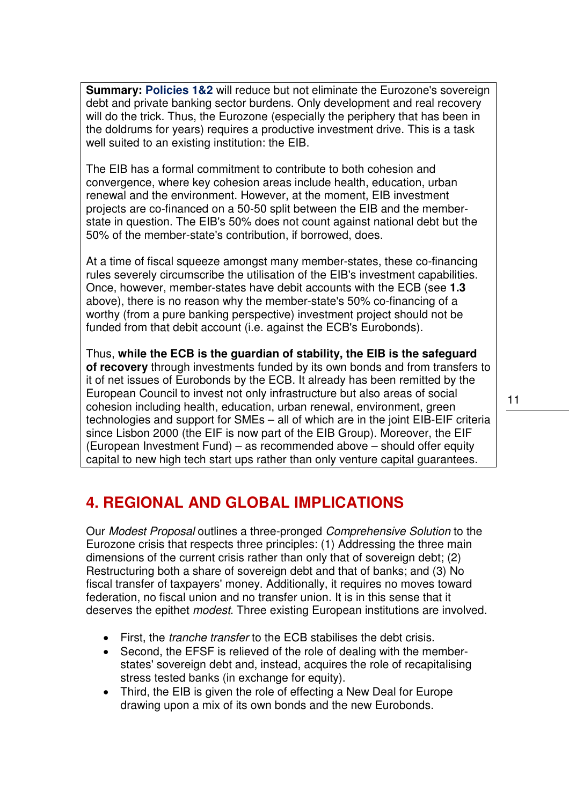**Summary: Policies 1&2** will reduce but not eliminate the Eurozone's sovereign debt and private banking sector burdens. Only development and real recovery will do the trick. Thus, the Eurozone (especially the periphery that has been in the doldrums for years) requires a productive investment drive. This is a task well suited to an existing institution: the EIB.

The EIB has a formal commitment to contribute to both cohesion and convergence, where key cohesion areas include health, education, urban renewal and the environment. However, at the moment, EIB investment projects are co-financed on a 50-50 split between the EIB and the memberstate in question. The EIB's 50% does not count against national debt but the 50% of the member-state's contribution, if borrowed, does.

At a time of fiscal squeeze amongst many member-states, these co-financing rules severely circumscribe the utilisation of the EIB's investment capabilities. Once, however, member-states have debit accounts with the ECB (see **1.3** above), there is no reason why the member-state's 50% co-financing of a worthy (from a pure banking perspective) investment project should not be funded from that debit account (i.e. against the ECB's Eurobonds).

Thus, **while the ECB is the guardian of stability, the EIB is the safeguard of recovery** through investments funded by its own bonds and from transfers to it of net issues of Eurobonds by the ECB. It already has been remitted by the European Council to invest not only infrastructure but also areas of social cohesion including health, education, urban renewal, environment, green technologies and support for SMEs – all of which are in the joint EIB-EIF criteria since Lisbon 2000 (the EIF is now part of the EIB Group). Moreover, the EIF (European Investment Fund) – as recommended above – should offer equity capital to new high tech start ups rather than only venture capital guarantees.

### **4. REGIONAL AND GLOBAL IMPLICATIONS**

Our Modest Proposal outlines a three-pronged Comprehensive Solution to the Eurozone crisis that respects three principles: (1) Addressing the three main dimensions of the current crisis rather than only that of sovereign debt; (2) Restructuring both a share of sovereign debt and that of banks; and (3) No fiscal transfer of taxpayers' money. Additionally, it requires no moves toward federation, no fiscal union and no transfer union. It is in this sense that it deserves the epithet *modest*. Three existing European institutions are involved.

- First, the *tranche transfer* to the ECB stabilises the debt crisis.
- Second, the EFSF is relieved of the role of dealing with the memberstates' sovereign debt and, instead, acquires the role of recapitalising stress tested banks (in exchange for equity).
- Third, the EIB is given the role of effecting a New Deal for Europe drawing upon a mix of its own bonds and the new Eurobonds.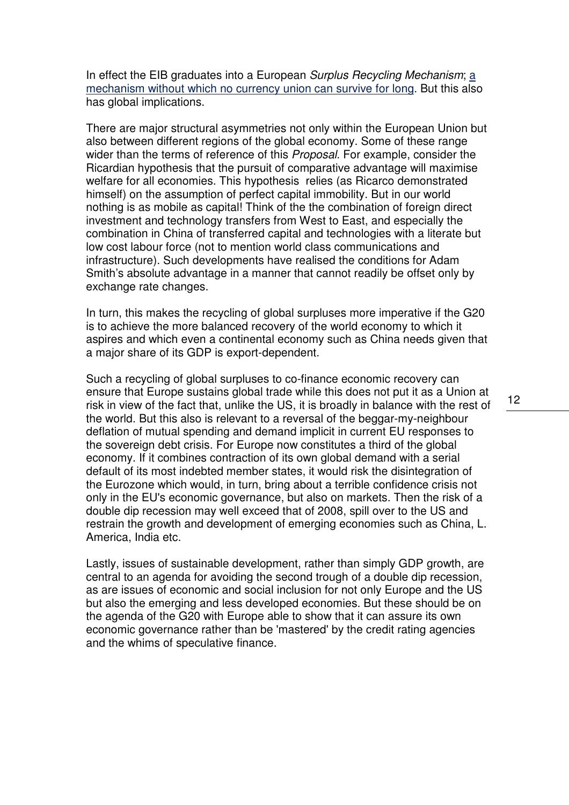In effect the EIB graduates into a European Surplus Recycling Mechanism;  $\underline{a}$ mechanism without which no currency union can survive for long. But this also has global implications.

There are major structural asymmetries not only within the European Union but also between different regions of the global economy. Some of these range wider than the terms of reference of this *Proposal*. For example, consider the Ricardian hypothesis that the pursuit of comparative advantage will maximise welfare for all economies. This hypothesis relies (as Ricarco demonstrated himself) on the assumption of perfect capital immobility. But in our world nothing is as mobile as capital! Think of the the combination of foreign direct investment and technology transfers from West to East, and especially the combination in China of transferred capital and technologies with a literate but low cost labour force (not to mention world class communications and infrastructure). Such developments have realised the conditions for Adam Smith's absolute advantage in a manner that cannot readily be offset only by exchange rate changes.

In turn, this makes the recycling of global surpluses more imperative if the G20 is to achieve the more balanced recovery of the world economy to which it aspires and which even a continental economy such as China needs given that a major share of its GDP is export-dependent.

Such a recycling of global surpluses to co-finance economic recovery can ensure that Europe sustains global trade while this does not put it as a Union at risk in view of the fact that, unlike the US, it is broadly in balance with the rest of the world. But this also is relevant to a reversal of the beggar-my-neighbour deflation of mutual spending and demand implicit in current EU responses to the sovereign debt crisis. For Europe now constitutes a third of the global economy. If it combines contraction of its own global demand with a serial default of its most indebted member states, it would risk the disintegration of the Eurozone which would, in turn, bring about a terrible confidence crisis not only in the EU's economic governance, but also on markets. Then the risk of a double dip recession may well exceed that of 2008, spill over to the US and restrain the growth and development of emerging economies such as China, L. America, India etc.

Lastly, issues of sustainable development, rather than simply GDP growth, are central to an agenda for avoiding the second trough of a double dip recession, as are issues of economic and social inclusion for not only Europe and the US but also the emerging and less developed economies. But these should be on the agenda of the G20 with Europe able to show that it can assure its own economic governance rather than be 'mastered' by the credit rating agencies and the whims of speculative finance.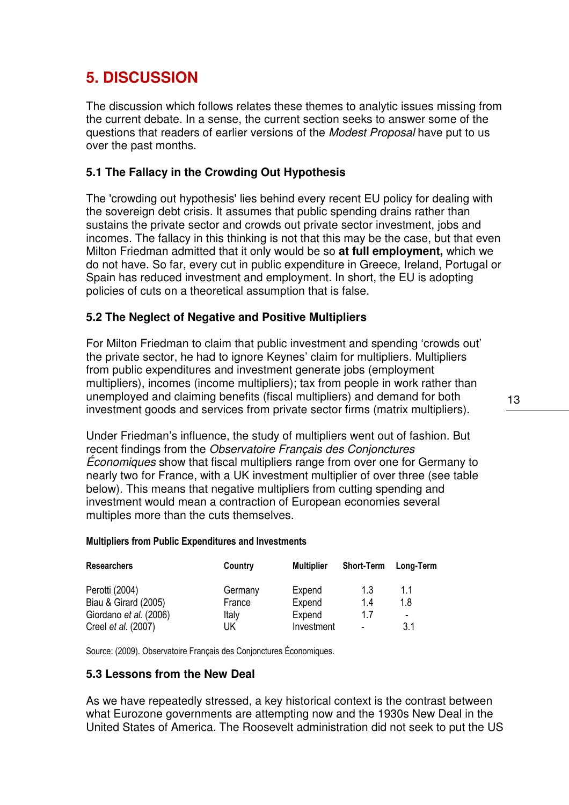### **5. DISCUSSION**

The discussion which follows relates these themes to analytic issues missing from the current debate. In a sense, the current section seeks to answer some of the questions that readers of earlier versions of the Modest Proposal have put to us over the past months.

#### **5.1 The Fallacy in the Crowding Out Hypothesis**

The 'crowding out hypothesis' lies behind every recent EU policy for dealing with the sovereign debt crisis. It assumes that public spending drains rather than sustains the private sector and crowds out private sector investment, jobs and incomes. The fallacy in this thinking is not that this may be the case, but that even Milton Friedman admitted that it only would be so **at full employment,** which we do not have. So far, every cut in public expenditure in Greece, Ireland, Portugal or Spain has reduced investment and employment. In short, the EU is adopting policies of cuts on a theoretical assumption that is false.

#### **5.2 The Neglect of Negative and Positive Multipliers**

For Milton Friedman to claim that public investment and spending 'crowds out' the private sector, he had to ignore Keynes' claim for multipliers. Multipliers from public expenditures and investment generate jobs (employment multipliers), incomes (income multipliers); tax from people in work rather than unemployed and claiming benefits (fiscal multipliers) and demand for both investment goods and services from private sector firms (matrix multipliers).

Under Friedman's influence, the study of multipliers went out of fashion. But recent findings from the Observatoire Français des Conjonctures Économiques show that fiscal multipliers range from over one for Germany to nearly two for France, with a UK investment multiplier of over three (see table below). This means that negative multipliers from cutting spending and investment would mean a contraction of European economies several multiples more than the cuts themselves.

#### Multipliers from Public Expenditures and Investments

| <b>Researchers</b>     | Country | <b>Multiplier</b> | <b>Short-Term</b> | Long-Term                |
|------------------------|---------|-------------------|-------------------|--------------------------|
| Perotti (2004)         | Germany | Expend            | 1.3               | 1.1                      |
| Biau & Girard (2005)   | France  | Expend            | 1.4               | 1.8                      |
| Giordano et al. (2006) | Italy   | Expend            | 17                | $\overline{\phantom{0}}$ |
| Creel et al. (2007)    | UK      | Investment        | $\blacksquare$    | 3.1                      |

Source: (2009). Observatoire Français des Conjonctures Économiques.

#### **5.3 Lessons from the New Deal**

As we have repeatedly stressed, a key historical context is the contrast between what Eurozone governments are attempting now and the 1930s New Deal in the United States of America. The Roosevelt administration did not seek to put the US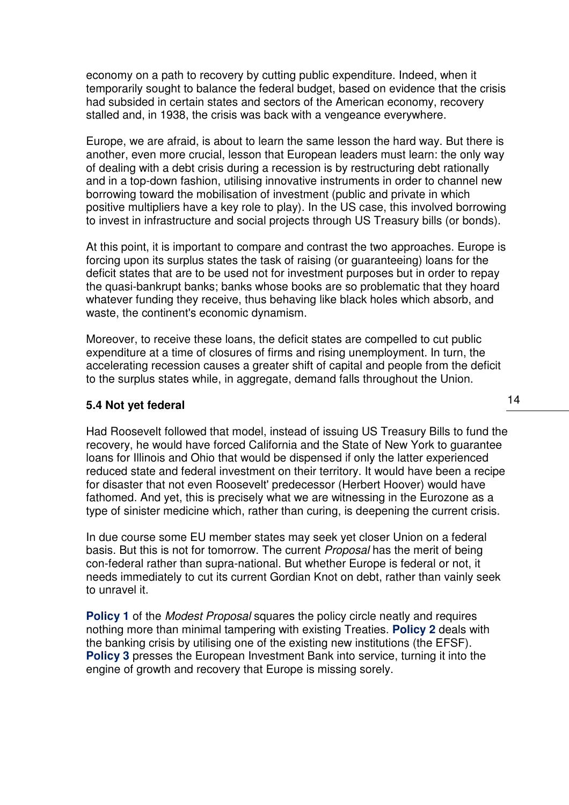economy on a path to recovery by cutting public expenditure. Indeed, when it temporarily sought to balance the federal budget, based on evidence that the crisis had subsided in certain states and sectors of the American economy, recovery stalled and, in 1938, the crisis was back with a vengeance everywhere.

Europe, we are afraid, is about to learn the same lesson the hard way. But there is another, even more crucial, lesson that European leaders must learn: the only way of dealing with a debt crisis during a recession is by restructuring debt rationally and in a top-down fashion, utilising innovative instruments in order to channel new borrowing toward the mobilisation of investment (public and private in which positive multipliers have a key role to play). In the US case, this involved borrowing to invest in infrastructure and social projects through US Treasury bills (or bonds).

At this point, it is important to compare and contrast the two approaches. Europe is forcing upon its surplus states the task of raising (or guaranteeing) loans for the deficit states that are to be used not for investment purposes but in order to repay the quasi-bankrupt banks; banks whose books are so problematic that they hoard whatever funding they receive, thus behaving like black holes which absorb, and waste, the continent's economic dynamism.

Moreover, to receive these loans, the deficit states are compelled to cut public expenditure at a time of closures of firms and rising unemployment. In turn, the accelerating recession causes a greater shift of capital and people from the deficit to the surplus states while, in aggregate, demand falls throughout the Union.

#### **5.4 Not yet federal**

Had Roosevelt followed that model, instead of issuing US Treasury Bills to fund the recovery, he would have forced California and the State of New York to guarantee loans for Illinois and Ohio that would be dispensed if only the latter experienced reduced state and federal investment on their territory. It would have been a recipe for disaster that not even Roosevelt' predecessor (Herbert Hoover) would have fathomed. And yet, this is precisely what we are witnessing in the Eurozone as a type of sinister medicine which, rather than curing, is deepening the current crisis.

In due course some EU member states may seek yet closer Union on a federal basis. But this is not for tomorrow. The current *Proposal* has the merit of being con-federal rather than supra-national. But whether Europe is federal or not, it needs immediately to cut its current Gordian Knot on debt, rather than vainly seek to unravel it.

**Policy 1** of the *Modest Proposal* squares the policy circle neatly and requires nothing more than minimal tampering with existing Treaties. **Policy 2** deals with the banking crisis by utilising one of the existing new institutions (the EFSF). **Policy 3** presses the European Investment Bank into service, turning it into the engine of growth and recovery that Europe is missing sorely.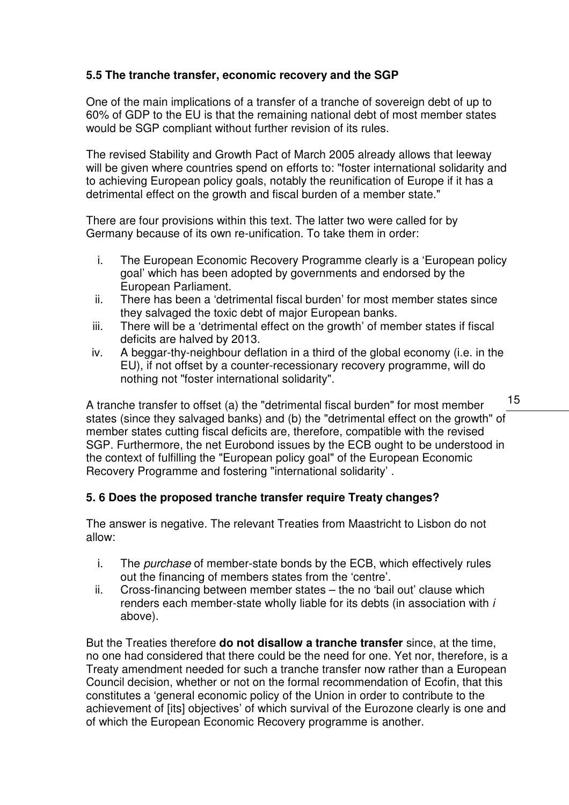### **5.5 The tranche transfer, economic recovery and the SGP**

One of the main implications of a transfer of a tranche of sovereign debt of up to 60% of GDP to the EU is that the remaining national debt of most member states would be SGP compliant without further revision of its rules.

The revised Stability and Growth Pact of March 2005 already allows that leeway will be given where countries spend on efforts to: "foster international solidarity and to achieving European policy goals, notably the reunification of Europe if it has a detrimental effect on the growth and fiscal burden of a member state."

There are four provisions within this text. The latter two were called for by Germany because of its own re-unification. To take them in order:

- i. The European Economic Recovery Programme clearly is a 'European policy goal' which has been adopted by governments and endorsed by the European Parliament.
- ii. There has been a 'detrimental fiscal burden' for most member states since they salvaged the toxic debt of major European banks.
- iii. There will be a 'detrimental effect on the growth' of member states if fiscal deficits are halved by 2013.
- iv. A beggar-thy-neighbour deflation in a third of the global economy (i.e. in the EU), if not offset by a counter-recessionary recovery programme, will do nothing not "foster international solidarity".

A tranche transfer to offset (a) the "detrimental fiscal burden" for most member states (since they salvaged banks) and (b) the "detrimental effect on the growth" of member states cutting fiscal deficits are, therefore, compatible with the revised SGP. Furthermore, the net Eurobond issues by the ECB ought to be understood in the context of fulfilling the "European policy goal" of the European Economic Recovery Programme and fostering "international solidarity' .

### **5. 6 Does the proposed tranche transfer require Treaty changes?**

The answer is negative. The relevant Treaties from Maastricht to Lisbon do not allow:

- i. The purchase of member-state bonds by the ECB, which effectively rules out the financing of members states from the 'centre'.
- ii. Cross-financing between member states the no 'bail out' clause which renders each member-state wholly liable for its debts (in association with i above).

But the Treaties therefore **do not disallow a tranche transfer** since, at the time, no one had considered that there could be the need for one. Yet nor, therefore, is a Treaty amendment needed for such a tranche transfer now rather than a European Council decision, whether or not on the formal recommendation of Ecofin, that this constitutes a 'general economic policy of the Union in order to contribute to the achievement of [its] objectives' of which survival of the Eurozone clearly is one and of which the European Economic Recovery programme is another.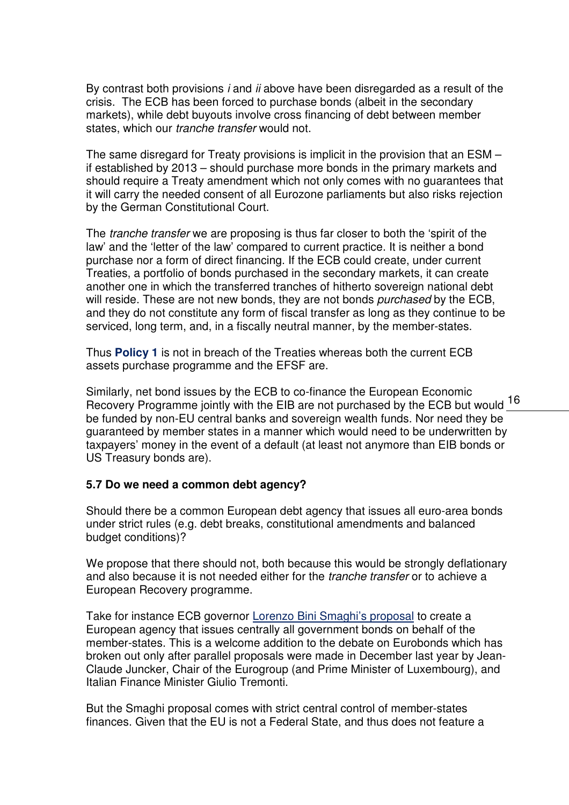By contrast both provisions  $i$  and  $ii$  above have been disregarded as a result of the crisis. The ECB has been forced to purchase bonds (albeit in the secondary markets), while debt buyouts involve cross financing of debt between member states, which our *tranche transfer* would not.

The same disregard for Treaty provisions is implicit in the provision that an ESM – if established by 2013 – should purchase more bonds in the primary markets and should require a Treaty amendment which not only comes with no guarantees that it will carry the needed consent of all Eurozone parliaments but also risks rejection by the German Constitutional Court.

The tranche transfer we are proposing is thus far closer to both the 'spirit of the law' and the 'letter of the law' compared to current practice. It is neither a bond purchase nor a form of direct financing. If the ECB could create, under current Treaties, a portfolio of bonds purchased in the secondary markets, it can create another one in which the transferred tranches of hitherto sovereign national debt will reside. These are not new bonds, they are not bonds *purchased* by the ECB. and they do not constitute any form of fiscal transfer as long as they continue to be serviced, long term, and, in a fiscally neutral manner, by the member-states.

Thus **Policy 1** is not in breach of the Treaties whereas both the current ECB assets purchase programme and the EFSF are.

Brimary, not some recuse by the ECD to be imalitied the Editopean Economic would 16<br>Recovery Programme jointly with the EIB are not purchased by the ECB but would 16 Similarly, net bond issues by the ECB to co-finance the European Economic be funded by non-EU central banks and sovereign wealth funds. Nor need they be guaranteed by member states in a manner which would need to be underwritten by taxpayers' money in the event of a default (at least not anymore than EIB bonds or US Treasury bonds are).

#### **5.7 Do we need a common debt agency?**

Should there be a common European debt agency that issues all euro-area bonds under strict rules (e.g. debt breaks, constitutional amendments and balanced budget conditions)?

We propose that there should not, both because this would be strongly deflationary and also because it is not needed either for the *tranche transfer* or to achieve a European Recovery programme.

Take for instance ECB governor Lorenzo Bini Smaghi's proposal to create a European agency that issues centrally all government bonds on behalf of the member-states. This is a welcome addition to the debate on Eurobonds which has broken out only after parallel proposals were made in December last year by Jean-Claude Juncker, Chair of the Eurogroup (and Prime Minister of Luxembourg), and Italian Finance Minister Giulio Tremonti.

But the Smaghi proposal comes with strict central control of member-states finances. Given that the EU is not a Federal State, and thus does not feature a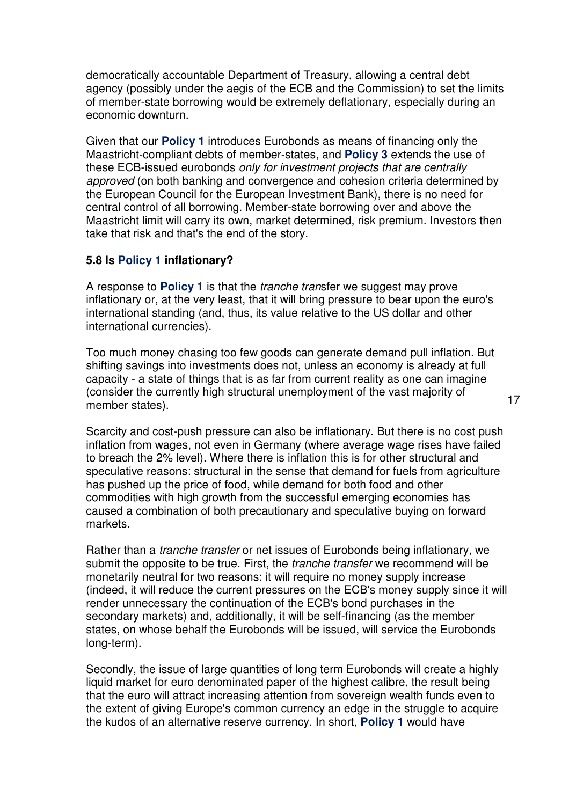democratically accountable Department of Treasury, allowing a central debt agency (possibly under the aegis of the ECB and the Commission) to set the limits of member-state borrowing would be extremely deflationary, especially during an economic downturn.

Given that our **Policy 1** introduces Eurobonds as means of financing only the Maastricht-compliant debts of member-states, and **Policy 3** extends the use of these ECB-issued eurobonds only for investment projects that are centrally approved (on both banking and convergence and cohesion criteria determined by the European Council for the European Investment Bank), there is no need for central control of all borrowing. Member-state borrowing over and above the Maastricht limit will carry its own, market determined, risk premium. Investors then take that risk and that's the end of the story.

#### **5.8 Is Policy 1 inflationary?**

A response to **Policy 1** is that the tranche transfer we suggest may prove inflationary or, at the very least, that it will bring pressure to bear upon the euro's international standing (and, thus, its value relative to the US dollar and other international currencies).

Too much money chasing too few goods can generate demand pull inflation. But shifting savings into investments does not, unless an economy is already at full capacity - a state of things that is as far from current reality as one can imagine (consider the currently high structural unemployment of the vast majority of member states).

Scarcity and cost-push pressure can also be inflationary. But there is no cost push inflation from wages, not even in Germany (where average wage rises have failed to breach the 2% level). Where there is inflation this is for other structural and speculative reasons: structural in the sense that demand for fuels from agriculture has pushed up the price of food, while demand for both food and other commodities with high growth from the successful emerging economies has caused a combination of both precautionary and speculative buying on forward markets.

Rather than a *tranche transfer* or net issues of Eurobonds being inflationary, we submit the opposite to be true. First, the *tranche transfer* we recommend will be monetarily neutral for two reasons: it will require no money supply increase (indeed, it will reduce the current pressures on the ECB's money supply since it will render unnecessary the continuation of the ECB's bond purchases in the secondary markets) and, additionally, it will be self-financing (as the member states, on whose behalf the Eurobonds will be issued, will service the Eurobonds long-term).

Secondly, the issue of large quantities of long term Eurobonds will create a highly liquid market for euro denominated paper of the highest calibre, the result being that the euro will attract increasing attention from sovereign wealth funds even to the extent of giving Europe's common currency an edge in the struggle to acquire the kudos of an alternative reserve currency. In short, **Policy 1** would have